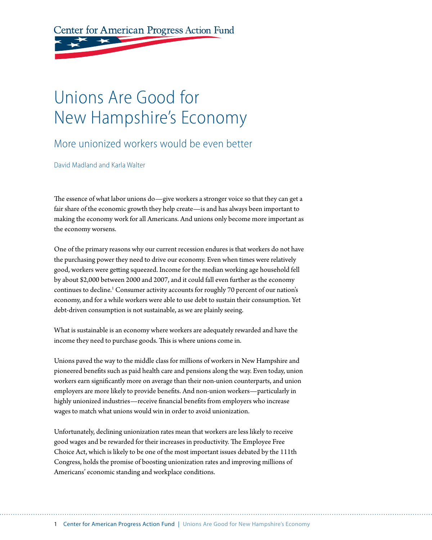Center for American Progress Action Fund

# Unions Are Good for New Hampshire's Economy

### More unionized workers would be even better

David Madland and Karla Walter

The essence of what labor unions do—give workers a stronger voice so that they can get a fair share of the economic growth they help create—is and has always been important to making the economy work for all Americans. And unions only become more important as the economy worsens.

One of the primary reasons why our current recession endures is that workers do not have the purchasing power they need to drive our economy. Even when times were relatively good, workers were getting squeezed. Income for the median working age household fell by about \$2,000 between 2000 and 2007, and it could fall even further as the economy continues to decline.<sup>1</sup> Consumer activity accounts for roughly 70 percent of our nation's economy, and for a while workers were able to use debt to sustain their consumption. Yet debt-driven consumption is not sustainable, as we are plainly seeing.

What is sustainable is an economy where workers are adequately rewarded and have the income they need to purchase goods. This is where unions come in.

Unions paved the way to the middle class for millions of workers in New Hampshire and pioneered benefits such as paid health care and pensions along the way. Even today, union workers earn significantly more on average than their non-union counterparts, and union employers are more likely to provide benefits. And non-union workers—particularly in highly unionized industries—receive financial benefits from employers who increase wages to match what unions would win in order to avoid unionization.

Unfortunately, declining unionization rates mean that workers are less likely to receive good wages and be rewarded for their increases in productivity. The Employee Free Choice Act, which is likely to be one of the most important issues debated by the 111th Congress, holds the promise of boosting unionization rates and improving millions of Americans' economic standing and workplace conditions.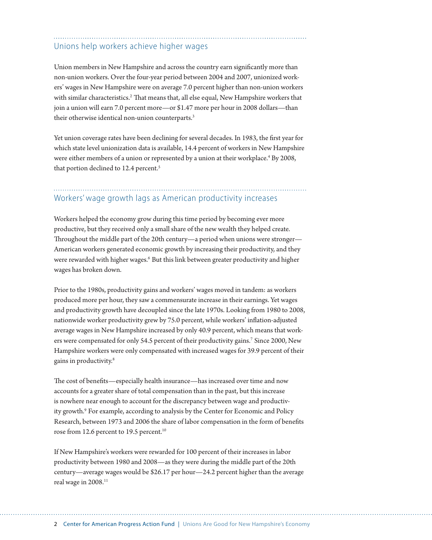#### Unions help workers achieve higher wages

Union members in New Hampshire and across the country earn significantly more than non-union workers. Over the four-year period between 2004 and 2007, unionized workers' wages in New Hampshire were on average 7.0 percent higher than non-union workers with similar characteristics.<sup>2</sup> That means that, all else equal, New Hampshire workers that join a union will earn 7.0 percent more—or \$1.47 more per hour in 2008 dollars—than their otherwise identical non-union counterparts.<sup>3</sup>

Yet union coverage rates have been declining for several decades. In 1983, the first year for which state level unionization data is available, 14.4 percent of workers in New Hampshire were either members of a union or represented by a union at their workplace.<sup>4</sup> By 2008, that portion declined to 12.4 percent.<sup>5</sup>

### Workers' wage growth lags as American productivity increases

Workers helped the economy grow during this time period by becoming ever more productive, but they received only a small share of the new wealth they helped create. Throughout the middle part of the 20th century—a period when unions were stronger— American workers generated economic growth by increasing their productivity, and they were rewarded with higher wages.<sup>6</sup> But this link between greater productivity and higher wages has broken down.

Prior to the 1980s, productivity gains and workers' wages moved in tandem: as workers produced more per hour, they saw a commensurate increase in their earnings. Yet wages and productivity growth have decoupled since the late 1970s. Looking from 1980 to 2008, nationwide worker productivity grew by 75.0 percent, while workers' inflation-adjusted average wages in New Hampshire increased by only 40.9 percent, which means that workers were compensated for only 54.5 percent of their productivity gains.<sup>7</sup> Since 2000, New Hampshire workers were only compensated with increased wages for 39.9 percent of their gains in productivity.8

The cost of benefits—especially health insurance—has increased over time and now accounts for a greater share of total compensation than in the past, but this increase is nowhere near enough to account for the discrepancy between wage and productivity growth.<sup>9</sup> For example, according to analysis by the Center for Economic and Policy Research, between 1973 and 2006 the share of labor compensation in the form of benefits rose from 12.6 percent to 19.5 percent.<sup>10</sup>

If New Hampshire's workers were rewarded for 100 percent of their increases in labor productivity between 1980 and 2008—as they were during the middle part of the 20th century—average wages would be \$26.17 per hour—24.2 percent higher than the average real wage in 2008.<sup>11</sup>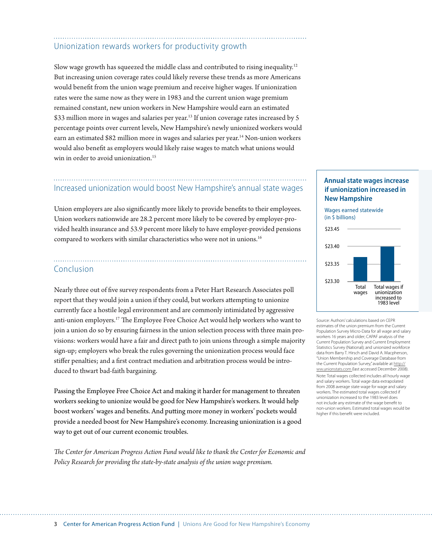### Unionization rewards workers for productivity growth

Slow wage growth has squeezed the middle class and contributed to rising inequality.12 But increasing union coverage rates could likely reverse these trends as more Americans would benefit from the union wage premium and receive higher wages. If unionization rates were the same now as they were in 1983 and the current union wage premium remained constant, new union workers in New Hampshire would earn an estimated \$33 million more in wages and salaries per year.<sup>13</sup> If union coverage rates increased by 5 percentage points over current levels, New Hampshire's newly unionized workers would earn an estimated \$82 million more in wages and salaries per year.<sup>14</sup> Non-union workers would also benefit as employers would likely raise wages to match what unions would win in order to avoid unionization.<sup>15</sup>

#### Increased unionization would boost New Hampshire's annual state wages

Union employers are also significantly more likely to provide benefits to their employees. Union workers nationwide are 28.2 percent more likely to be covered by employer-provided health insurance and 53.9 percent more likely to have employer-provided pensions compared to workers with similar characteristics who were not in unions.<sup>16</sup>

#### Conclusion

Nearly three out of five survey respondents from a Peter Hart Research Associates poll report that they would join a union if they could, but workers attempting to unionize currently face a hostile legal environment and are commonly intimidated by aggressive anti-union employers.17 The Employee Free Choice Act would help workers who want to join a union do so by ensuring fairness in the union selection process with three main provisions: workers would have a fair and direct path to join unions through a simple majority sign-up; employers who break the rules governing the unionization process would face stiffer penalties; and a first contract mediation and arbitration process would be introduced to thwart bad-faith bargaining.

Passing the Employee Free Choice Act and making it harder for management to threaten workers seeking to unionize would be good for New Hampshire's workers. It would help boost workers' wages and benefits. And putting more money in workers' pockets would provide a needed boost for New Hampshire's economy. Increasing unionization is a good way to get out of our current economic troubles.

*The Center for American Progress Action Fund would like to thank the Center for Economic and Policy Research for providing the state-by-state analysis of the union wage premium.*

#### **Annual state wages increase if unionization increased in New Hampshire**



Source: Authors' calculations based on CEPR estimates of the union premium from the Current Population Survey Micro-Data for all wage and salary workers 16 years and older; CAPAF analysis of the Current Population Survey and Current Employment Statistics Survey (National); and unionized workforce data from Barry T. Hirsch and David A. Macpherson, "Union Membership and Coverage Database from the Current Population Survey," available at http:// ww.unionstats.com (last accessed December 2008). Note: Total wages collected includes all hourly wage and salary workers. Total wage data extrapolated from 2008 average state wage for wage and salary workers. The estimated total wages collected if unionization increased to the 1983 level does not include any estimate of the wage benefit to non-union workers. Estimated total wages would be higher if this benefit were included.